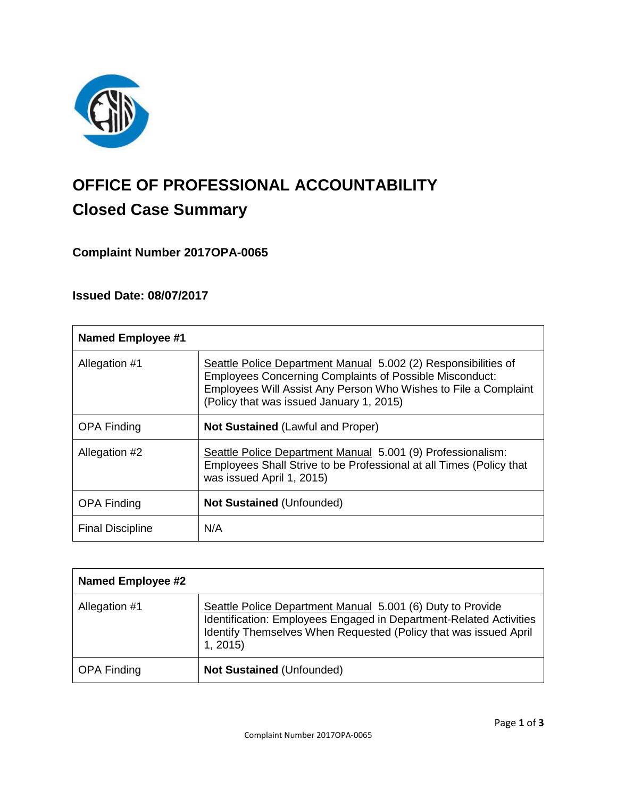

# **OFFICE OF PROFESSIONAL ACCOUNTABILITY Closed Case Summary**

**Complaint Number 2017OPA-0065**

# **Issued Date: 08/07/2017**

| <b>Named Employee #1</b> |                                                                                                                                                                                                                                                 |
|--------------------------|-------------------------------------------------------------------------------------------------------------------------------------------------------------------------------------------------------------------------------------------------|
| Allegation #1            | Seattle Police Department Manual 5.002 (2) Responsibilities of<br><b>Employees Concerning Complaints of Possible Misconduct:</b><br>Employees Will Assist Any Person Who Wishes to File a Complaint<br>(Policy that was issued January 1, 2015) |
| <b>OPA Finding</b>       | <b>Not Sustained (Lawful and Proper)</b>                                                                                                                                                                                                        |
| Allegation #2            | Seattle Police Department Manual 5.001 (9) Professionalism:<br>Employees Shall Strive to be Professional at all Times (Policy that<br>was issued April 1, 2015)                                                                                 |
| <b>OPA Finding</b>       | <b>Not Sustained (Unfounded)</b>                                                                                                                                                                                                                |
| <b>Final Discipline</b>  | N/A                                                                                                                                                                                                                                             |

| <b>Named Employee #2</b> |                                                                                                                                                                                                                 |
|--------------------------|-----------------------------------------------------------------------------------------------------------------------------------------------------------------------------------------------------------------|
| Allegation #1            | Seattle Police Department Manual 5.001 (6) Duty to Provide<br>Identification: Employees Engaged in Department-Related Activities<br>Identify Themselves When Requested (Policy that was issued April<br>1, 2015 |
| <b>OPA Finding</b>       | <b>Not Sustained (Unfounded)</b>                                                                                                                                                                                |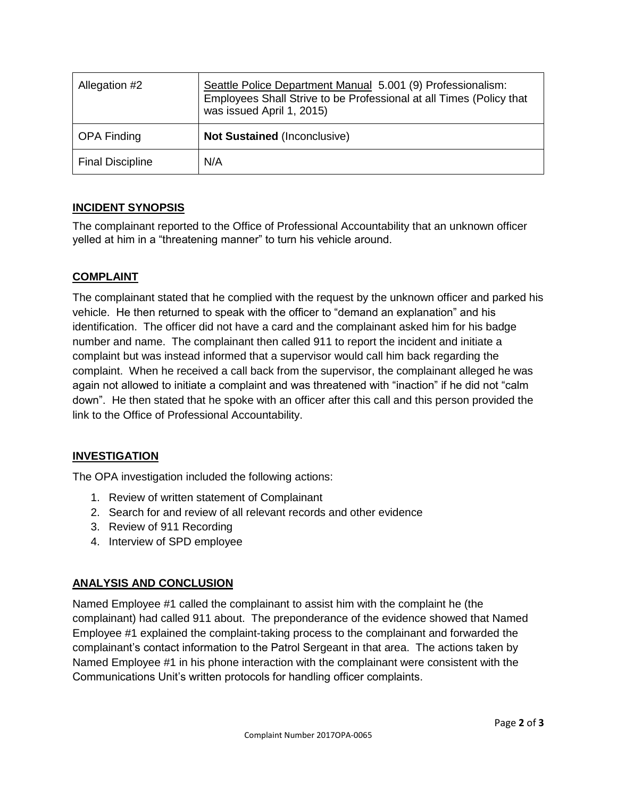| Allegation #2           | Seattle Police Department Manual 5.001 (9) Professionalism:<br>Employees Shall Strive to be Professional at all Times (Policy that<br>was issued April 1, 2015) |
|-------------------------|-----------------------------------------------------------------------------------------------------------------------------------------------------------------|
| <b>OPA Finding</b>      | Not Sustained (Inconclusive)                                                                                                                                    |
| <b>Final Discipline</b> | N/A                                                                                                                                                             |

# **INCIDENT SYNOPSIS**

The complainant reported to the Office of Professional Accountability that an unknown officer yelled at him in a "threatening manner" to turn his vehicle around.

# **COMPLAINT**

The complainant stated that he complied with the request by the unknown officer and parked his vehicle. He then returned to speak with the officer to "demand an explanation" and his identification. The officer did not have a card and the complainant asked him for his badge number and name. The complainant then called 911 to report the incident and initiate a complaint but was instead informed that a supervisor would call him back regarding the complaint. When he received a call back from the supervisor, the complainant alleged he was again not allowed to initiate a complaint and was threatened with "inaction" if he did not "calm down". He then stated that he spoke with an officer after this call and this person provided the link to the Office of Professional Accountability.

# **INVESTIGATION**

The OPA investigation included the following actions:

- 1. Review of written statement of Complainant
- 2. Search for and review of all relevant records and other evidence
- 3. Review of 911 Recording
- 4. Interview of SPD employee

# **ANALYSIS AND CONCLUSION**

Named Employee #1 called the complainant to assist him with the complaint he (the complainant) had called 911 about. The preponderance of the evidence showed that Named Employee #1 explained the complaint-taking process to the complainant and forwarded the complainant's contact information to the Patrol Sergeant in that area. The actions taken by Named Employee #1 in his phone interaction with the complainant were consistent with the Communications Unit's written protocols for handling officer complaints.